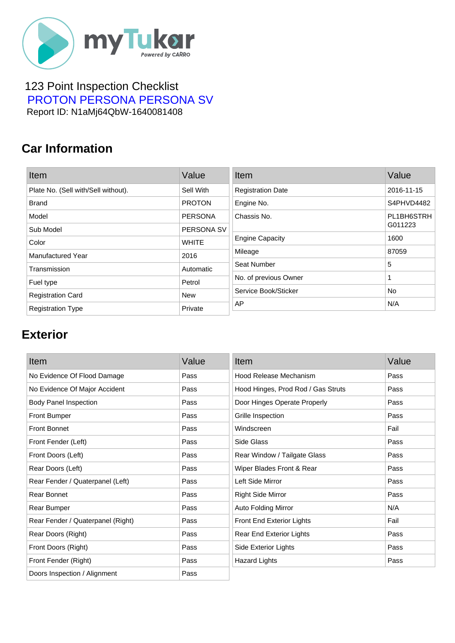

#### 123 Point Inspection Checklist  [PROTON PERSONA PERSONA SV](https://mytukar.com/q/GP216O) Report ID: N1aMj64QbW-1640081408

### **Car Information**

| Item                                | Value          | Item                     | Value      |
|-------------------------------------|----------------|--------------------------|------------|
| Plate No. (Sell with/Sell without). | Sell With      | <b>Registration Date</b> | 2016-11-15 |
| <b>Brand</b>                        | <b>PROTON</b>  | Engine No.               | S4PHVD4482 |
| Model                               | <b>PERSONA</b> | Chassis No.              | PL1BH6STRH |
| Sub Model                           | PERSONA SV     |                          | G011223    |
| Color                               | <b>WHITE</b>   | <b>Engine Capacity</b>   | 1600       |
| Manufactured Year                   | 2016           | Mileage                  | 87059      |
| Transmission                        | Automatic      | Seat Number              | 5          |
| Fuel type                           | Petrol         | No. of previous Owner    | 1          |
| <b>Registration Card</b>            | <b>New</b>     | Service Book/Sticker     | No.        |
| <b>Registration Type</b>            | Private        | AP                       | N/A        |

# **Exterior**

| Item                              | Value | Item                               | Value |
|-----------------------------------|-------|------------------------------------|-------|
| No Evidence Of Flood Damage       | Pass  | Hood Release Mechanism             | Pass  |
| No Evidence Of Major Accident     | Pass  | Hood Hinges, Prod Rod / Gas Struts | Pass  |
| <b>Body Panel Inspection</b>      | Pass  | Door Hinges Operate Properly       | Pass  |
| <b>Front Bumper</b>               | Pass  | Grille Inspection                  | Pass  |
| <b>Front Bonnet</b>               | Pass  | Windscreen                         | Fail  |
| Front Fender (Left)               | Pass  | Side Glass                         | Pass  |
| Front Doors (Left)                | Pass  | Rear Window / Tailgate Glass       | Pass  |
| Rear Doors (Left)                 | Pass  | Wiper Blades Front & Rear          | Pass  |
| Rear Fender / Quaterpanel (Left)  | Pass  | Left Side Mirror                   | Pass  |
| Rear Bonnet                       | Pass  | <b>Right Side Mirror</b>           | Pass  |
| Rear Bumper                       | Pass  | <b>Auto Folding Mirror</b>         | N/A   |
| Rear Fender / Quaterpanel (Right) | Pass  | Front End Exterior Lights          | Fail  |
| Rear Doors (Right)                | Pass  | Rear End Exterior Lights           | Pass  |
| Front Doors (Right)               | Pass  | Side Exterior Lights               | Pass  |
| Front Fender (Right)              | Pass  | <b>Hazard Lights</b>               | Pass  |
| Doors Inspection / Alignment      | Pass  |                                    |       |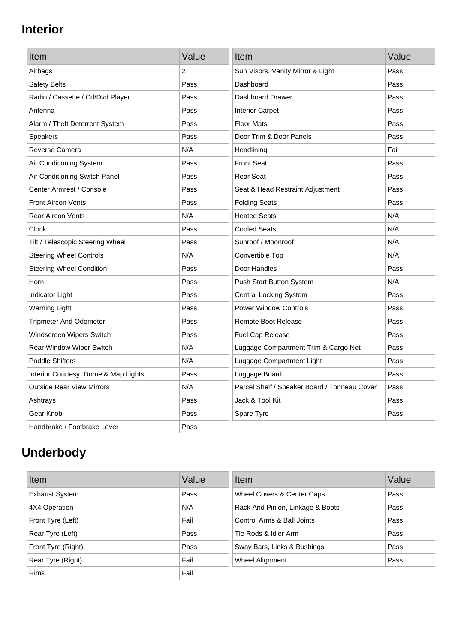# **Interior**

| Item                                 | Value | Item                                         | Value |
|--------------------------------------|-------|----------------------------------------------|-------|
| Airbags                              | 2     | Sun Visors, Vanity Mirror & Light            | Pass  |
| Safety Belts                         | Pass  | Dashboard                                    | Pass  |
| Radio / Cassette / Cd/Dvd Player     | Pass  | Dashboard Drawer                             | Pass  |
| Antenna                              | Pass  | <b>Interior Carpet</b>                       | Pass  |
| Alarm / Theft Deterrent System       | Pass  | <b>Floor Mats</b>                            | Pass  |
| <b>Speakers</b>                      | Pass  | Door Trim & Door Panels                      | Pass  |
| Reverse Camera                       | N/A   | Headlining                                   | Fail  |
| Air Conditioning System              | Pass  | <b>Front Seat</b>                            | Pass  |
| Air Conditioning Switch Panel        | Pass  | <b>Rear Seat</b>                             | Pass  |
| Center Armrest / Console             | Pass  | Seat & Head Restraint Adjustment             | Pass  |
| <b>Front Aircon Vents</b>            | Pass  | <b>Folding Seats</b>                         | Pass  |
| <b>Rear Aircon Vents</b>             | N/A   | <b>Heated Seats</b>                          | N/A   |
| Clock                                | Pass  | <b>Cooled Seats</b>                          | N/A   |
| Tilt / Telescopic Steering Wheel     | Pass  | Sunroof / Moonroof                           | N/A   |
| <b>Steering Wheel Controls</b>       | N/A   | Convertible Top                              | N/A   |
| <b>Steering Wheel Condition</b>      | Pass  | Door Handles                                 | Pass  |
| Horn                                 | Pass  | Push Start Button System                     | N/A   |
| Indicator Light                      | Pass  | <b>Central Locking System</b>                | Pass  |
| <b>Warning Light</b>                 | Pass  | <b>Power Window Controls</b>                 | Pass  |
| <b>Tripmeter And Odometer</b>        | Pass  | <b>Remote Boot Release</b>                   | Pass  |
| Windscreen Wipers Switch             | Pass  | Fuel Cap Release                             | Pass  |
| Rear Window Wiper Switch             | N/A   | Luggage Compartment Trim & Cargo Net         | Pass  |
| <b>Paddle Shifters</b>               | N/A   | Luggage Compartment Light                    | Pass  |
| Interior Courtesy, Dome & Map Lights | Pass  | Luggage Board                                | Pass  |
| <b>Outside Rear View Mirrors</b>     | N/A   | Parcel Shelf / Speaker Board / Tonneau Cover | Pass  |
| Ashtrays                             | Pass  | Jack & Tool Kit                              | Pass  |
| Gear Knob                            | Pass  | Spare Tyre                                   | Pass  |
| Handbrake / Footbrake Lever          | Pass  |                                              |       |

# **Underbody**

| Item                  | Value | Item                             | Value |
|-----------------------|-------|----------------------------------|-------|
| <b>Exhaust System</b> | Pass  | Wheel Covers & Center Caps       | Pass  |
| 4X4 Operation         | N/A   | Rack And Pinion, Linkage & Boots | Pass  |
| Front Tyre (Left)     | Fail  | Control Arms & Ball Joints       | Pass  |
| Rear Tyre (Left)      | Pass  | Tie Rods & Idler Arm             | Pass  |
| Front Tyre (Right)    | Pass  | Sway Bars, Links & Bushings      | Pass  |
| Rear Tyre (Right)     | Fail  | Wheel Alignment                  | Pass  |
| <b>Rims</b>           | Fail  |                                  |       |